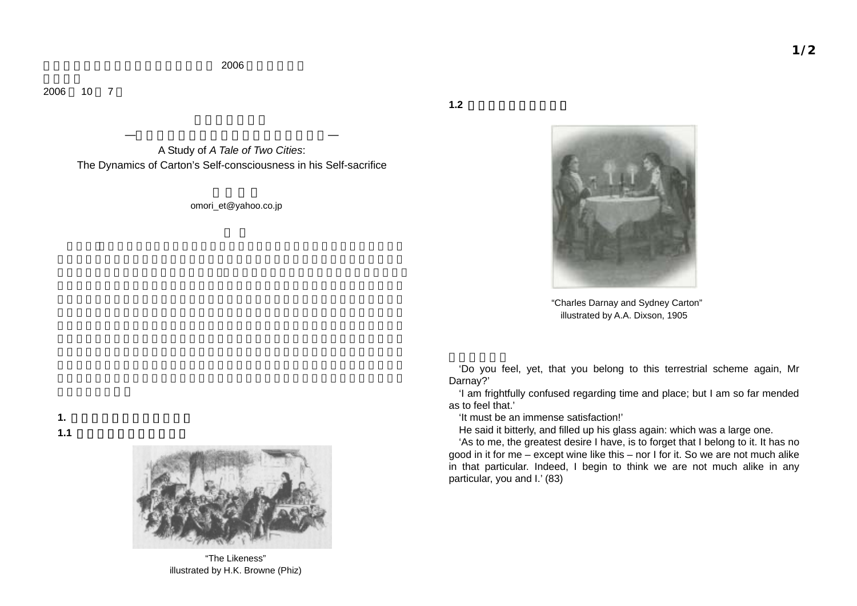2006

200610 7

> A Study of *A Tale of Two Cities*: The Dynamics of Carton's Self-consciousness in his Self-sacrifice

> > omori\_et@yahoo.co.jp



"Charles Darnay and Sydney Carton" illustrated by A.A. Dixson, 1905

'Do you feel, yet, that you belong to this terrestrial scheme again, Mr Darnay?'

'I am frightfully confused regarding time and place; but I am so far mended as to feel that.'

'It must be an immense satisfaction!'

 $1.2$ 

He said it bitterly, and filled up his glass again: which was a large one.

'As to me, the greatest desire I have, is to forget that I belong to it. It has no good in it for me – except wine like this – nor I for it. So we are not much alike in that particular. Indeed, I begin to think we are not much alike in any particular, you and I.' (83)



"The Likeness" illustrated by H.K. Browne (Phiz)